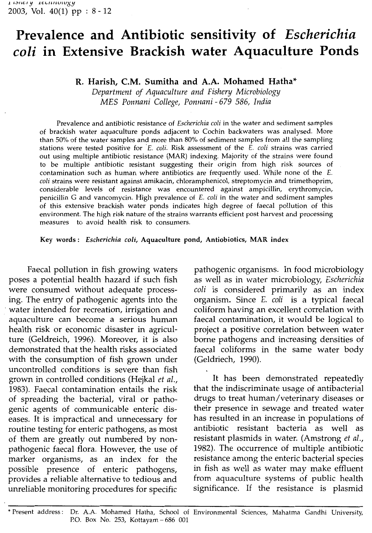# Prevalence and Antibiotic sensitivity of Escherichia coli in Extensive Brackish water Aquaculture Ponds

## R. Harish, C.M. Sumitha and A.A. Mohamed Hatha\*

Department of Aquaculture and Fishery Microbiology MES Ponnani College, Ponnani - <sup>679</sup> 586, India

Prevalence and antibiotic resistance of *Escherichia coli* in the water and sediment samples of brackish water aquaculture ponds adjacent to Cochin backwaters was analysed. More than 50% of the water samples and more than 80% of sediment samples from all the sampling stations were tested positive for  $E.$  coli. Risk assessment of the  $E.$  coli strains was carried out using multiple antibiotic resistance (MAR) indexing. Majority of the strains were found to be multiple antibiotic resistant suggesting their origin from high risk sources of contamination such as human where antibiotics are frequently used. While none of the £. coli strains were resistant against amikacin, chloramphenicol, streptomycin and trimethoprim, considerable levels of resistance was encountered against ampicillin, erythromycin, penicillin <sup>G</sup> and vancomycin. High prevalence of £. coli in the water and sediment samples of this extensive brackish water ponds indicates high degree of faecal pollution of this environment. The high risk nature of the strains warrants efficient post harvest and processing measures to avoid health risk to consumers.

#### Key words: Escherichia coli, Aquaculture pond, Antiobiotics, MAR index

Faecal pollution in fish growing waters poses <sup>a</sup> potential health hazard if such fish were consumed without adequate processing. The entry of pathogenic agents into the water intended for recreation, irrigation and aquaculture can become <sup>a</sup> serious human health risk or economic disaster in agriculture (Geldreich, 1996). Moreover, it is also demonstrated that the health risks associated with the consumption of fish grown under uncontrolled conditions is severe than fish grown in controlled conditions (Hejkal et al., 1983). Faecal contamination entails the risk of spreading the bacterial, viral or pathogenic agents of communicable enteric diseases. It is impractical and unnecessary for routine testing for enteric pathogens, as most of them are greatly out numbered by nonpathogenic faecal flora. However, the use of marker organisms, as an index for the possible presence of enteric pathogens, provides <sup>a</sup> reliable alternative to tedious and unreliable monitoring procedures for specific

pathogenic organisms. In food microbiology as well as in water microbiology, Escherichia coli is considered primarily as an index organism. Since E. coli is <sup>a</sup> typical faecal coliform having an excellent correlation with faecal contamination, it would be logical to project <sup>a</sup> positive correlation between water borne pathogens and increasing densities of faecal coliforms in the same water body (Geldriech, 1990).

It has been demonstrated repeatedly that the indiscriminate usage of antibacterial drugs to treat human/veterinary diseases or their presence in sewage and treated water has resulted in an increase in populations of antibiotic resistant bacteria as well as resistant plasmids in water. (Amstrong et al., 1982). The occurrence of multiple antibiotic resistance among the enteric bacterial species in fish as well as water may make effluent from aquaculture systems of public health significance. If the resistance is plasmid

\* Present address: Dr. A.A. Mohamed Hatha, School of Environmental Sciences, Mahatma Gandhi University, P.O. Box No. 253, Kottayam - 686 001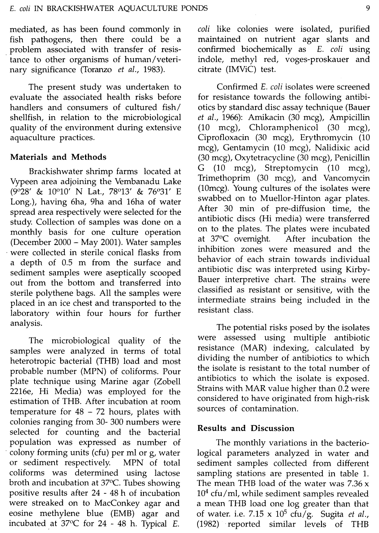mediated, as has been found commonly in fish pathogens, then there could be <sup>a</sup> problem associated with transfer of resistance to other organisms of human/veterinary significance (Toranzo et al., 1983).

The present study was undertaken to evaluate the associated health risks before handlers and consumers of cultured fish/ shellfish, in relation to the microbiological quality of the environment during extensive aquaculture practices.

### Materials and Methods

Brackishwater shrimp farms located at Vypeen area adjoining the Vembanadu Lake (9°28' & 10°10' N Lat., 78°13' & 76°31' E Long.), having 6ha, 9ha and 16ha of water spread area respectively were selected for the study. Collection of samples was done on <sup>a</sup> monthly basis for one culture operation (December <sup>2000</sup> - May 2001). Water samples were collected in sterile conical flasks from <sup>a</sup> depth of 0.5 m from the surface and sediment samples were aseptically scooped out from the bottom and transferred into sterile polythene bags. All the samples were placed in an ice chest and transported to the laboratory within four hours for further analysis.

The microbiological quality of the samples were analyzed in terms of total heterotropic bacterial (THB) load and most probable number (MPN) of coliforms. Pour plate technique using Marine agar (Zobell 2216e, Hi Media) was employed for the estimation of THB. After incubation at room temperature for  $48 - 72$  hours, plates with colonies ranging from 30- <sup>300</sup> numbers were selected for counting and the bacterial population was expressed as number of colony forming units (cfu) per ml or g, water or sediment respectively. MPN of total coliforms was determined using lactose broth and incubation at 370C. Tubes showing positive results after <sup>24</sup> - <sup>48</sup> <sup>h</sup> of incubation were streaked on to MacConkey agar and eosine methylene blue (EMB) agar and incubated at  $37^{\circ}$ C for 24 - 48 h. Typical E.

coli like colonies were isolated, purified maintained on nutrient agar slants and confirmed biochemically as E. coli using indole, methyl red, voges-proskauer and citrate (IMViC) test.

Confirmed E. coli isolates were screened for resistance towards the following antibiotics by standard disc assay technique (Bauer et al., 1966): Amikacin (30 meg), Ampicillin (10 meg), Chloramphenicol (30 meg), Ciprofloxacin (30 meg), Erythromycin (10 meg), Gentamycin (10 meg), Nalidixic acid (30 meg), Oxytetracycline (30 meg). Penicillin G (10 mcg), Streptomycin (10 mcg), Trimethoprim (30 meg), and Vancomycin (lOmcg). Young cultures of the isolates were swabbed on to Muellor-Hinton agar plates. After <sup>30</sup> min of pre-diffusion time, the antibiotic discs (Hi media) were transferred on to the plates. The plates were incubated at 370C overnight. After incubation the inhibition zones were measured and the behavior of each strain towards individual antibiotic disc was interpreted using Kirby-Bauer interpretive chart. The strains were classified as resistant or sensitive, with the intermediate strains being included in the resistant class.

The potential risks posed by the isolates were assessed using multiple antibiotic resistance (MAR) indexing, calculated by dividing the number of antibiotics to which the isolate is resistant to the total number of antibiotics to which the isolate is exposed. Strains with MAR value higher than 0.2 were considered to have originated from high-risk sources of contamination.

### Results and Discussion

The monthly variations in the bacteriological parameters analyzed in water and sediment samples collected from different sampling stations are presented in table 1. The mean THB load of the water was 7.36 <sup>x</sup>  $10<sup>4</sup>$  cfu/ml, while sediment samples revealed <sup>a</sup> mean THB load one log greater than that of water, i.e. 7.15 x  $10^5$  cfu/g. Sugita et al., (1982) reported similar levels of THB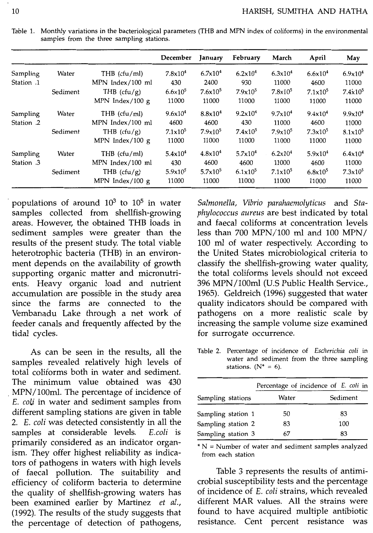|            |          |                   | December            | January             | February            | March               | April               | May                 |
|------------|----------|-------------------|---------------------|---------------------|---------------------|---------------------|---------------------|---------------------|
| Sampling   | Water    | THB $(cfu/ml)$    | 7.8x10 <sup>4</sup> | 6.7x10 <sup>4</sup> | $6.2 \times 10^4$   | $6.3 \times 10^4$   | 6.6x10 <sup>4</sup> | 6.9x10 <sup>4</sup> |
| Station .1 |          | MPN Index/100 ml  | 430                 | 2400                | 930                 | 11000               | 4600                | 11000               |
|            | Sediment | THB $(cfu/g)$     | $6.6 \times 10^{5}$ | $7.6x10^5$          | $7.9x10^5$          | $7.8 \times 10^{5}$ | $7.1 \times 10^5$   | $7.4 \times 10^5$   |
|            |          | MPN Index/100 $g$ | 11000               | 11000               | 11000               | 11000               | 11000               | 11000               |
| Sampling   | Water    | THB $(cfu/ml)$    | 9.6x10 <sup>4</sup> | $8.8 \times 10^{4}$ | 9.2x10 <sup>4</sup> | $9.7 \times 10^4$   | 9.4x10 <sup>4</sup> | 9.9x10 <sup>4</sup> |
| Station .2 |          | MPN Index/100 ml  | 4600                | 4600                | 430                 | 11000               | 4600                | 11000               |
|            | Sediment | THB $(cfu/g)$     | $7.1 \times 10^5$   | $7.9x10^5$          | $7.4 \times 10^5$   | $7.9x10^5$          | $7.3 \times 10^5$   | $8.1 \times 10^5$   |
|            |          | MPN Index/100 $g$ | 11000               | 11000               | 11000               | 11000               | 11000               | 11000               |
| Sampling   | Water    | THB $(cfu/ml)$    | 5.4x10 <sup>4</sup> | $4.8 \times 10^{4}$ | $5.7 \times 10^4$   | $6.2 \times 10^4$   | 5.9x10 <sup>4</sup> | 6.4x10 <sup>4</sup> |
| Station .3 |          | MPN Index/100 ml  | 430                 | 4600                | 4600                | 11000               | 4600                | 11000               |
|            | Sediment | THB $(cfu/g)$     | $5.9x10^5$          | $5.7 \times 10^{5}$ | $6.1 \times 10^5$   | $7.1 \times 10^5$   | $6.8 \times 10^5$   | $7.3 \times 10^5$   |
|            |          | MPN Index/100 $g$ | 11000               | 11000               | 11000               | 11000               | 11000               | 11000               |

Table 1. Monthly variations in the bacteriological parameters (THB and MPN index of coliforms) in the environmental samples from the three sampling stations.

populations of around  $10^3$  to  $10^5$  in water samples collected from shellfish-growing areas. However, the obtained THB loads in sediment samples were greater than the results of the present study. The total viable heterotrophic bacteria (THB) in an environment depends on the availability of growth supporting organic matter and micronutrients. Heavy organic load and nutrient accumulation are possible in the study area since the farms are connected to the Vembanadu Lake through <sup>a</sup> net work of feeder canals and frequently affected by the tidal cycles.

As can be seen in the results, all the samples revealed relatively high levels of total coliforms both in water and sediment. The minimum value obtained was <sup>430</sup> MPN/100ml. The percentage of incidence of £. coli in water and sediment samples from different sampling stations are given in table 2. E. coli was detected consistently in all the samples at considerable levels. E.coli is primarily considered as an indicator organism. They offer highest reliability as indicators of pathogens in waters with high levels of faecal pollution. The suitability and efficiency of coliform bacteria to determine the quality of shellfish-growing waters has been examined earlier by Martinez et al., (1992). The results of the study suggests that the percentage of detection of pathogens,

Salmonella, Vibrio parahaemolyticus and Staphylococcus aureus are best indicated by total and faecal coliforms at concentration levels less than <sup>700</sup> MPN/100 ml and <sup>100</sup> MPN/ <sup>100</sup> ml of water respectively. According to the United States microbiological criteria to classify the shellfish-growing water quality, the total coliforms levels should not exceed <sup>396</sup> MPN/lOOml (U.S Public Health Service., 1965). Geldreich (1996) suggested that water quality indicators should be compared with pathogens on <sup>a</sup> more realistic scale by increasing the sample volume size examined for surrogate occurrence.

Table 2. Percentage of incidence of Escherichia coli in water and sediment from the three sampling stations. ( $N^* = 6$ )

|                    | Percentage of incidence of E. coli in |          |
|--------------------|---------------------------------------|----------|
| Sampling stations  | Water                                 | Sediment |
| Sampling station 1 | 50                                    | 83       |
| Sampling station 2 | 83                                    | 100      |
| Sampling station 3 | 67                                    | 83       |

\* N <sup>=</sup> Number of water and sediment samples analyzed from each station

Table <sup>3</sup> represents the results of antimicrobial susceptibility tests and the percentage of incidence of £. coli strains, which revealed different MAR values. All the strains were found to have acquired multiple antibiotic resistance. Cent percent resistance was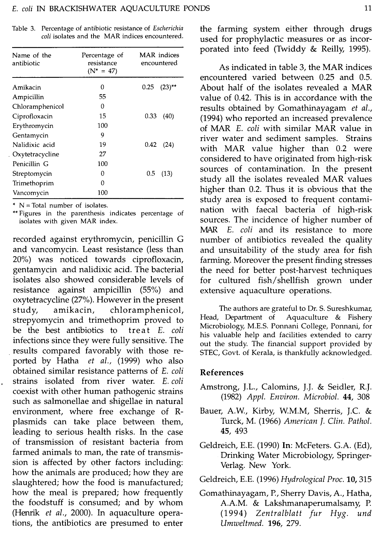| Name of the<br>antibiotic | Percentage of<br>resistance<br>$(N^* = 47)$ | <b>MAR</b> indices<br>encountered |  |  |
|---------------------------|---------------------------------------------|-----------------------------------|--|--|
| Amikacin                  | 0                                           | 0.25<br>$(23)$ <sup>**</sup>      |  |  |
| Ampicillin                | 55                                          |                                   |  |  |
| Chloramphenicol           | 0                                           |                                   |  |  |
| Ciprofloxacin             | 15                                          | 0.33<br>(40)                      |  |  |
| Erythromycin              | 100                                         |                                   |  |  |
| Gentamycin                | 9                                           |                                   |  |  |
| Nalidixic acid            | 19                                          | 0.42<br>(24)                      |  |  |
| Oxytetracycline           | 27                                          |                                   |  |  |
| Penicillin G              | 100                                         |                                   |  |  |
| Streptomycin              | 0                                           | 0.5<br>(13)                       |  |  |
| Trimethoprim              | 0                                           |                                   |  |  |
| Vancomycin                | 100                                         |                                   |  |  |

Table 3. Percentage of antibiotic resistance of *Escherichia* coli isolates and the MAR indices encountered.

 $*$  N = Total number of isolates.

\*\* Figures in the parenthesis indicates percentage of isolates with given MAR index.

recorded against erythromycin, penicillin <sup>G</sup> and vancomycin. Least resistance (less than 20%) was noticed towards ciproloxacin, gentamycin and nalidixic acid. The bacterial isolates also showed considerable levels of resistance against ampicillin (55%) and oxytetracycline (27%). However in the present study, amikacin, chloramphenicol, strepyomycin and trimethoprim proved to be the best antibiotics to treat E. coli infections since they were fully sensitive. The results compared favorably with those reported by Hatha et al., (1999) who also obtained similar resistance patterns of E. coli strains isolated from river water. E. coli coexist with other human pathogenic strains such as salmonellae and shigellae in natural environment, where free exchange of Rplasmids can take place between them, leading to serious health risks. In the case of transmission of resistant bacteria from farmed animals to man, the rate of transmission is affected by other factors including: how the animals are produced; how they are slaughtered; how the food is manufactured; how the meal is prepared; how frequently the foodstuff is consumed; and by whom (Henrik et al., 2000). In aquaculture operations, the antibiotics are presumed to enter

the farming system either through drugs used for prophylactic measures or as incorporated into feed (Twiddy & Reilly, 1995).

As indicated in table 3, the MAR indices encountered varied between 0.25 and 0.5. About half of the isolates revealed <sup>a</sup> MAR value of 0.42. This is in accordance with the results obtained by Gomathinayagam et al., (1994) who reported an increased prevalence of MAR E. coli with similar MAR value in river water and sediment samples. Strains with MAR value higher than 0.2 were considered to have originated from high-risk sources of contamination. In the present study all the isolates revealed MAR values higher than 0.2. Thus it is obvious that the study area is exposed to frequent contamination with faecal bacteria of high-risk sources. The incidence of higher number of MAR E. coli and its resistance to more number of antibiotics revealed the quality and unsuitability of the study area for fish farming. Moreover the present finding stresses the need for better post-harvest techniques for cultured fish/shellfish grown under extensive aquaculture operations.

The authors are grateful to Dr. S. Sureshkumar,<br>Head, Department of Aquaculture & Fishery Aquaculture  $&$  Fishery Microbiology, M.E.S. Ponnani College, Ponnani, for his valuable help and facilities extended to carry out the study. The financial support provided by STEC, Govt. of Kerala, is thankfully acknowledged.

## References

- Amstrong, J.L., Calomins, J.J. & Seidler, R.J. (1982) Appl. Environ. Microbiol. 44, <sup>308</sup>
- Bauer, A.W., Kirby, W.M.M, Sherris, J.C. & Turck, M. (1966) American J. Clin. Pathol. 45, 493
- Geldreich, E.E. (1990) In: McFeters. G.A. (Ed), Drinking Water Microbiology, Springer-Verlag. New York.
- Geldreich, E.E. (1996) Hydrological Proc. 10, <sup>315</sup>
- Gomathinayagam, P., Sherry Davis, A., Hatha, A. M. & Lakshmanaperumalsamy, P. (1994) Zentralblatt fur Hyg. und Umweltmed. 196, 279.